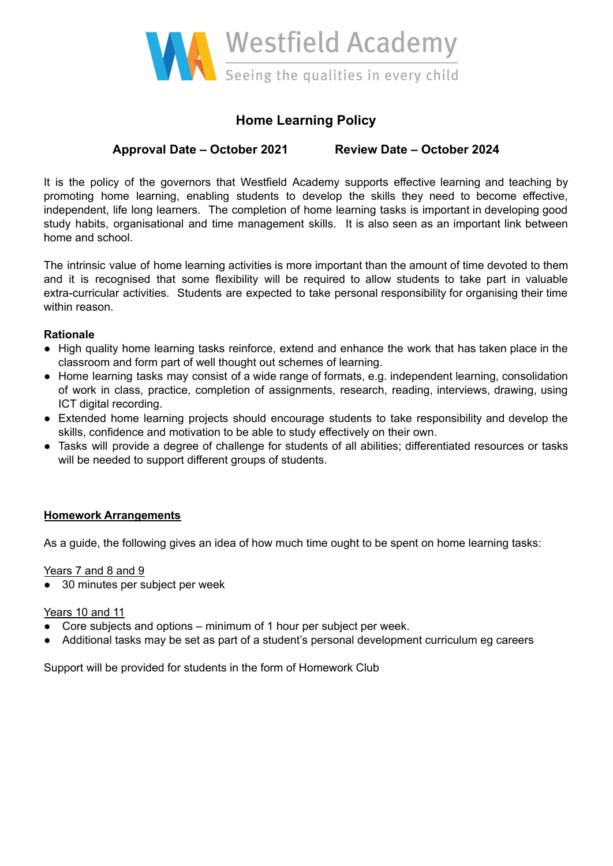

# **Home Learning Policy**

# **Approval Date – October 2021 Review Date – October 2024**

It is the policy of the governors that Westfield Academy supports effective learning and teaching by promoting home learning, enabling students to develop the skills they need to become effective, independent, life long learners. The completion of home learning tasks is important in developing good study habits, organisational and time management skills. It is also seen as an important link between home and school.

The intrinsic value of home learning activities is more important than the amount of time devoted to them and it is recognised that some flexibility will be required to allow students to take part in valuable extra-curricular activities. Students are expected to take personal responsibility for organising their time within reason.

## **Rationale**

- High quality home learning tasks reinforce, extend and enhance the work that has taken place in the classroom and form part of well thought out schemes of learning.
- Home learning tasks may consist of a wide range of formats, e.g. independent learning, consolidation of work in class, practice, completion of assignments, research, reading, interviews, drawing, using ICT digital recording.
- Extended home learning projects should encourage students to take responsibility and develop the skills, confidence and motivation to be able to study effectively on their own.
- Tasks will provide a degree of challenge for students of all abilities; differentiated resources or tasks will be needed to support different groups of students.

## **Homework Arrangements**

As a guide, the following gives an idea of how much time ought to be spent on home learning tasks:

## Years 7 and 8 and 9

● 30 minutes per subject per week

# Years 10 and 11

- Core subjects and options minimum of 1 hour per subject per week.
- Additional tasks may be set as part of a student's personal development curriculum eg careers

Support will be provided for students in the form of Homework Club